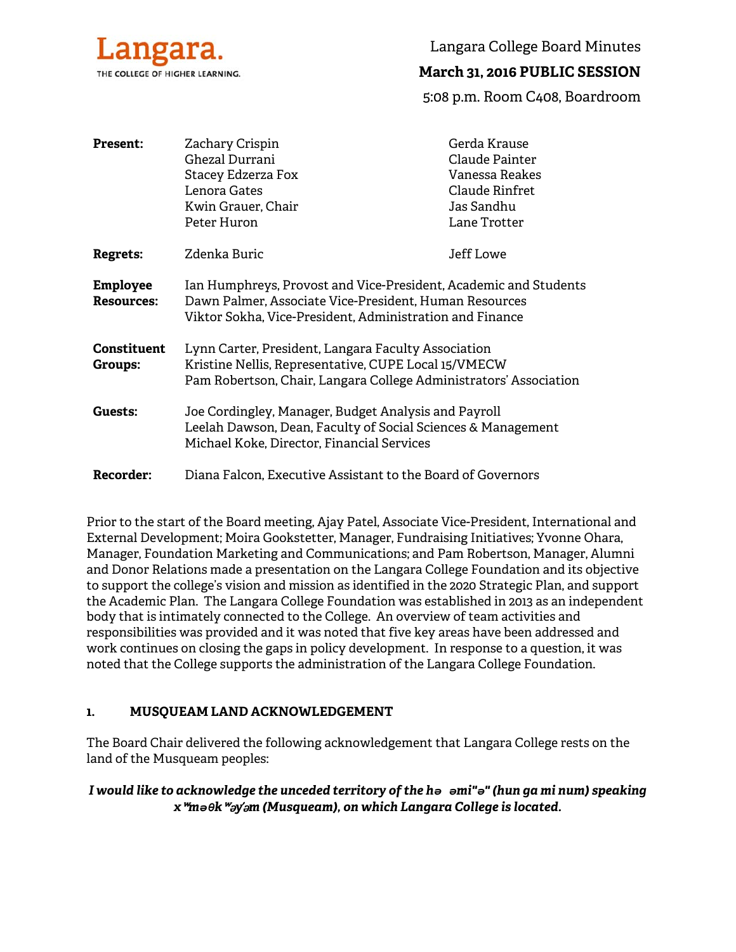

Langara College Board Minutes

# **March 31, 2016 PUBLIC SESSION**

5:08 p.m. Room C408, Boardroom

| <b>Present:</b>                      | Zachary Crispin<br>Ghezal Durrani<br><b>Stacey Edzerza Fox</b><br>Lenora Gates<br>Kwin Grauer, Chair<br>Peter Huron                                                                    | Gerda Krause<br>Claude Painter<br>Vanessa Reakes<br>Claude Rinfret<br>Jas Sandhu<br>Lane Trotter |
|--------------------------------------|----------------------------------------------------------------------------------------------------------------------------------------------------------------------------------------|--------------------------------------------------------------------------------------------------|
| <b>Regrets:</b>                      | Zdenka Buric                                                                                                                                                                           | Jeff Lowe                                                                                        |
| <b>Employee</b><br><b>Resources:</b> | Ian Humphreys, Provost and Vice-President, Academic and Students<br>Dawn Palmer, Associate Vice-President, Human Resources<br>Viktor Sokha, Vice-President, Administration and Finance |                                                                                                  |
| Constituent<br>Groups:               | Lynn Carter, President, Langara Faculty Association<br>Kristine Nellis, Representative, CUPE Local 15/VMECW<br>Pam Robertson, Chair, Langara College Administrators' Association       |                                                                                                  |
| Guests:                              | Joe Cordingley, Manager, Budget Analysis and Payroll<br>Leelah Dawson, Dean, Faculty of Social Sciences & Management<br>Michael Koke, Director, Financial Services                     |                                                                                                  |
| <b>Recorder:</b>                     | Diana Falcon, Executive Assistant to the Board of Governors                                                                                                                            |                                                                                                  |

Prior to the start of the Board meeting, Ajay Patel, Associate Vice-President, International and External Development; Moira Gookstetter, Manager, Fundraising Initiatives; Yvonne Ohara, Manager, Foundation Marketing and Communications; and Pam Robertson, Manager, Alumni and Donor Relations made a presentation on the Langara College Foundation and its objective to support the college's vision and mission as identified in the 2020 Strategic Plan, and support the Academic Plan. The Langara College Foundation was established in 2013 as an independent body that is intimately connected to the College. An overview of team activities and responsibilities was provided and it was noted that five key areas have been addressed and work continues on closing the gaps in policy development. In response to a question, it was noted that the College supports the administration of the Langara College Foundation.

### **1. MUSQUEAM LAND ACKNOWLEDGEMENT**

The Board Chair delivered the following acknowledgement that Langara College rests on the land of the Musqueam peoples:

*I would like to acknowledge the unceded territory of the hə əmi"ə" (hun ga mi num) speaking x*ʷ*məθk*ʷə*y*̓ə*m (Musqueam), on which Langara College is located.*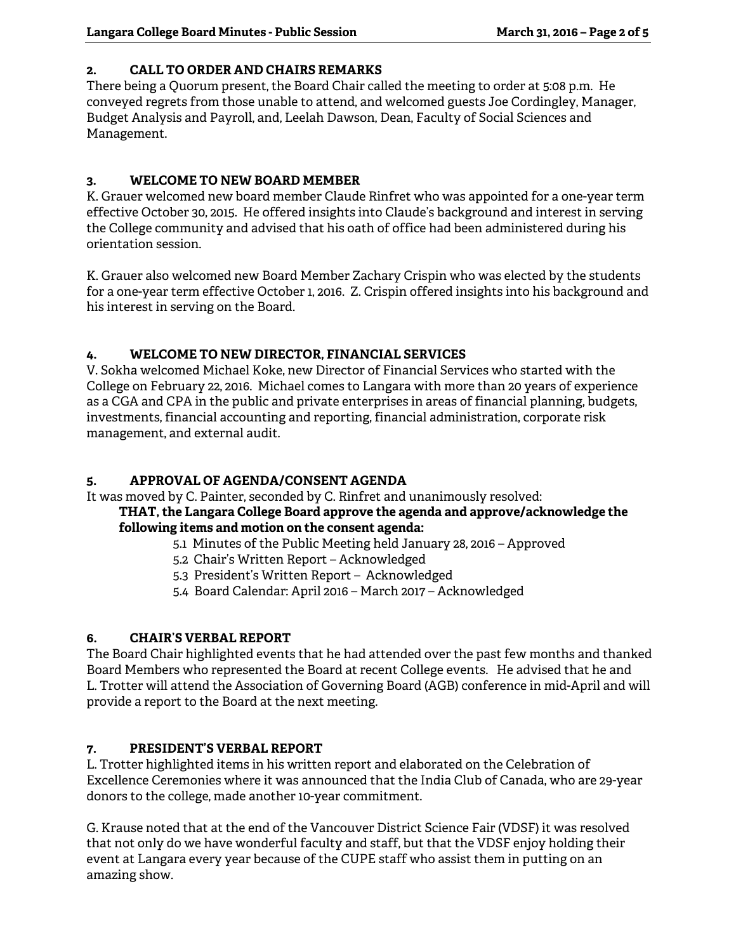## **2. CALL TO ORDER AND CHAIRS REMARKS**

There being a Quorum present, the Board Chair called the meeting to order at 5:08 p.m. He conveyed regrets from those unable to attend, and welcomed guests Joe Cordingley, Manager, Budget Analysis and Payroll, and, Leelah Dawson, Dean, Faculty of Social Sciences and Management.

# **3. WELCOME TO NEW BOARD MEMBER**

K. Grauer welcomed new board member Claude Rinfret who was appointed for a one-year term effective October 30, 2015. He offered insights into Claude's background and interest in serving the College community and advised that his oath of office had been administered during his orientation session.

K. Grauer also welcomed new Board Member Zachary Crispin who was elected by the students for a one-year term effective October 1, 2016. Z. Crispin offered insights into his background and his interest in serving on the Board.

# **4. WELCOME TO NEW DIRECTOR, FINANCIAL SERVICES**

V. Sokha welcomed Michael Koke, new Director of Financial Services who started with the College on February 22, 2016. Michael comes to Langara with more than 20 years of experience as a CGA and CPA in the public and private enterprises in areas of financial planning, budgets, investments, financial accounting and reporting, financial administration, corporate risk management, and external audit.

# **5. APPROVAL OF AGENDA/CONSENT AGENDA**

It was moved by C. Painter, seconded by C. Rinfret and unanimously resolved:

## **THAT, the Langara College Board approve the agenda and approve/acknowledge the following items and motion on the consent agenda:**

- 5.1 Minutes of the Public Meeting held January 28, 2016 Approved
- 5.2 Chair's Written Report Acknowledged
- 5.3 President's Written Report Acknowledged
- 5.4 Board Calendar: April 2016 March 2017 Acknowledged

# **6. CHAIR'S VERBAL REPORT**

The Board Chair highlighted events that he had attended over the past few months and thanked Board Members who represented the Board at recent College events. He advised that he and L. Trotter will attend the Association of Governing Board (AGB) conference in mid-April and will provide a report to the Board at the next meeting.

# **7. PRESIDENT'S VERBAL REPORT**

L. Trotter highlighted items in his written report and elaborated on the Celebration of Excellence Ceremonies where it was announced that the India Club of Canada, who are 29-year donors to the college, made another 10-year commitment.

G. Krause noted that at the end of the Vancouver District Science Fair (VDSF) it was resolved that not only do we have wonderful faculty and staff, but that the VDSF enjoy holding their event at Langara every year because of the CUPE staff who assist them in putting on an amazing show.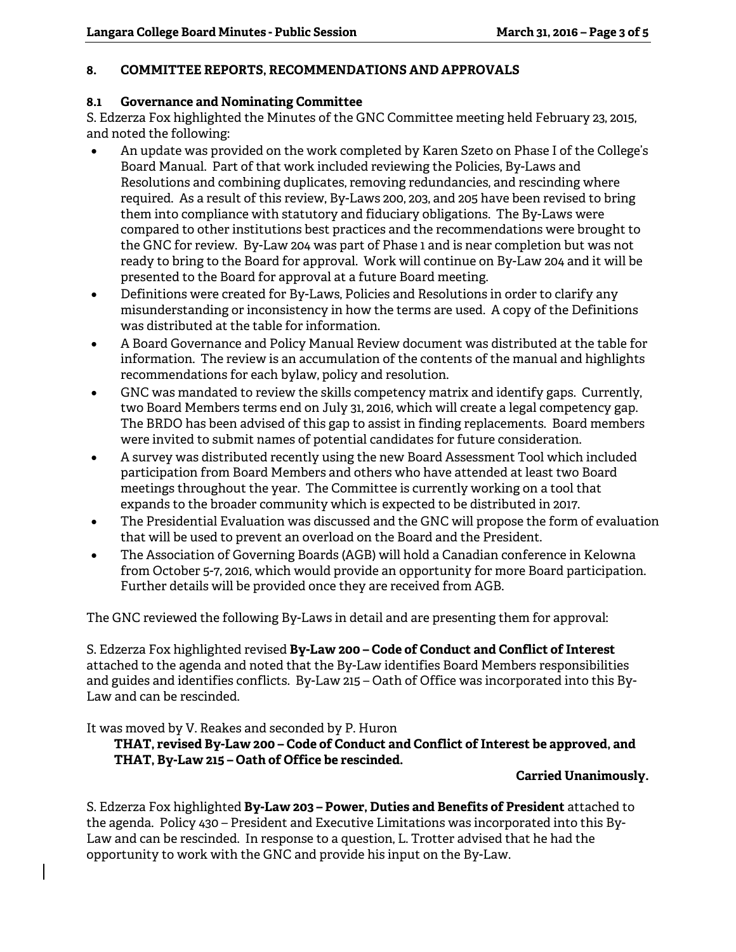### **8. COMMITTEE REPORTS, RECOMMENDATIONS AND APPROVALS**

### **8.1 Governance and Nominating Committee**

S. Edzerza Fox highlighted the Minutes of the GNC Committee meeting held February 23, 2015, and noted the following:

- An update was provided on the work completed by Karen Szeto on Phase I of the College's Board Manual. Part of that work included reviewing the Policies, By-Laws and Resolutions and combining duplicates, removing redundancies, and rescinding where required. As a result of this review, By-Laws 200, 203, and 205 have been revised to bring them into compliance with statutory and fiduciary obligations. The By-Laws were compared to other institutions best practices and the recommendations were brought to the GNC for review. By-Law 204 was part of Phase 1 and is near completion but was not ready to bring to the Board for approval. Work will continue on By-Law 204 and it will be presented to the Board for approval at a future Board meeting.
- Definitions were created for By-Laws, Policies and Resolutions in order to clarify any misunderstanding or inconsistency in how the terms are used. A copy of the Definitions was distributed at the table for information.
- A Board Governance and Policy Manual Review document was distributed at the table for information. The review is an accumulation of the contents of the manual and highlights recommendations for each bylaw, policy and resolution.
- GNC was mandated to review the skills competency matrix and identify gaps. Currently, two Board Members terms end on July 31, 2016, which will create a legal competency gap. The BRDO has been advised of this gap to assist in finding replacements. Board members were invited to submit names of potential candidates for future consideration.
- A survey was distributed recently using the new Board Assessment Tool which included participation from Board Members and others who have attended at least two Board meetings throughout the year. The Committee is currently working on a tool that expands to the broader community which is expected to be distributed in 2017.
- The Presidential Evaluation was discussed and the GNC will propose the form of evaluation that will be used to prevent an overload on the Board and the President.
- The Association of Governing Boards (AGB) will hold a Canadian conference in Kelowna from October 5-7, 2016, which would provide an opportunity for more Board participation. Further details will be provided once they are received from AGB.

The GNC reviewed the following By-Laws in detail and are presenting them for approval:

S. Edzerza Fox highlighted revised **By-Law 200 – Code of Conduct and Conflict of Interest** attached to the agenda and noted that the By-Law identifies Board Members responsibilities and guides and identifies conflicts. By-Law 215 – Oath of Office was incorporated into this By-Law and can be rescinded.

It was moved by V. Reakes and seconded by P. Huron

# **THAT, revised By-Law 200 – Code of Conduct and Conflict of Interest be approved, and THAT, By-Law 215 – Oath of Office be rescinded.**

### **Carried Unanimously.**

S. Edzerza Fox highlighted **By-Law 203 – Power, Duties and Benefits of President** attached to the agenda. Policy 430 – President and Executive Limitations was incorporated into this By-Law and can be rescinded. In response to a question, L. Trotter advised that he had the opportunity to work with the GNC and provide his input on the By-Law.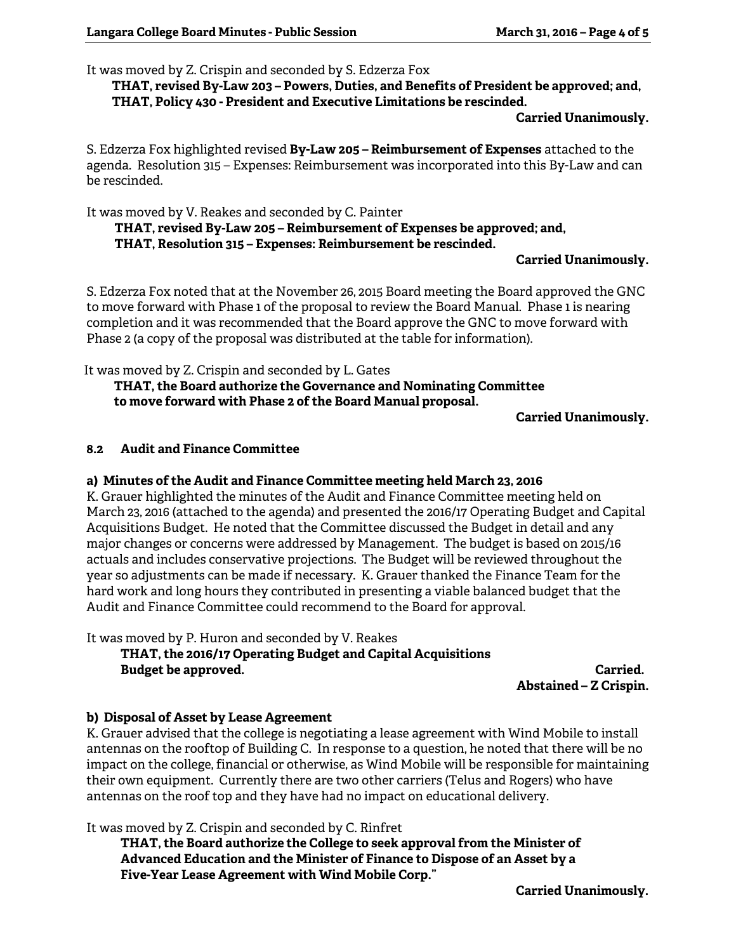It was moved by Z. Crispin and seconded by S. Edzerza Fox

**THAT, revised By-Law 203 – Powers, Duties, and Benefits of President be approved; and, THAT, Policy 430 - President and Executive Limitations be rescinded.** 

#### **Carried Unanimously.**

S. Edzerza Fox highlighted revised **By-Law 205 – Reimbursement of Expenses** attached to the agenda. Resolution 315 – Expenses: Reimbursement was incorporated into this By-Law and can be rescinded.

It was moved by V. Reakes and seconded by C. Painter

 **THAT, revised By-Law 205 – Reimbursement of Expenses be approved; and, THAT, Resolution 315 – Expenses: Reimbursement be rescinded.** 

#### **Carried Unanimously.**

S. Edzerza Fox noted that at the November 26, 2015 Board meeting the Board approved the GNC to move forward with Phase 1 of the proposal to review the Board Manual. Phase 1 is nearing completion and it was recommended that the Board approve the GNC to move forward with Phase 2 (a copy of the proposal was distributed at the table for information).

It was moved by Z. Crispin and seconded by L. Gates

 **THAT, the Board authorize the Governance and Nominating Committee to move forward with Phase 2 of the Board Manual proposal.** 

**Carried Unanimously.** 

#### **8.2 Audit and Finance Committee**

#### **a) Minutes of the Audit and Finance Committee meeting held March 23, 2016**

K. Grauer highlighted the minutes of the Audit and Finance Committee meeting held on March 23, 2016 (attached to the agenda) and presented the 2016/17 Operating Budget and Capital Acquisitions Budget. He noted that the Committee discussed the Budget in detail and any major changes or concerns were addressed by Management. The budget is based on 2015/16 actuals and includes conservative projections. The Budget will be reviewed throughout the year so adjustments can be made if necessary. K. Grauer thanked the Finance Team for the hard work and long hours they contributed in presenting a viable balanced budget that the Audit and Finance Committee could recommend to the Board for approval.

It was moved by P. Huron and seconded by V. Reakes  **THAT, the 2016/17 Operating Budget and Capital Acquisitions Budget be approved.** The contract of the contract of the contract of the contract of the contract of the contract of the contract of the contract of the contract of the contract of the contract of the contract of the cont

**Abstained – Z Crispin.** 

#### **b) Disposal of Asset by Lease Agreement**

K. Grauer advised that the college is negotiating a lease agreement with Wind Mobile to install antennas on the rooftop of Building C. In response to a question, he noted that there will be no impact on the college, financial or otherwise, as Wind Mobile will be responsible for maintaining their own equipment. Currently there are two other carriers (Telus and Rogers) who have antennas on the roof top and they have had no impact on educational delivery.

It was moved by Z. Crispin and seconded by C. Rinfret

**THAT, the Board authorize the College to seek approval from the Minister of Advanced Education and the Minister of Finance to Dispose of an Asset by a Five-Year Lease Agreement with Wind Mobile Corp."** 

**Carried Unanimously.**